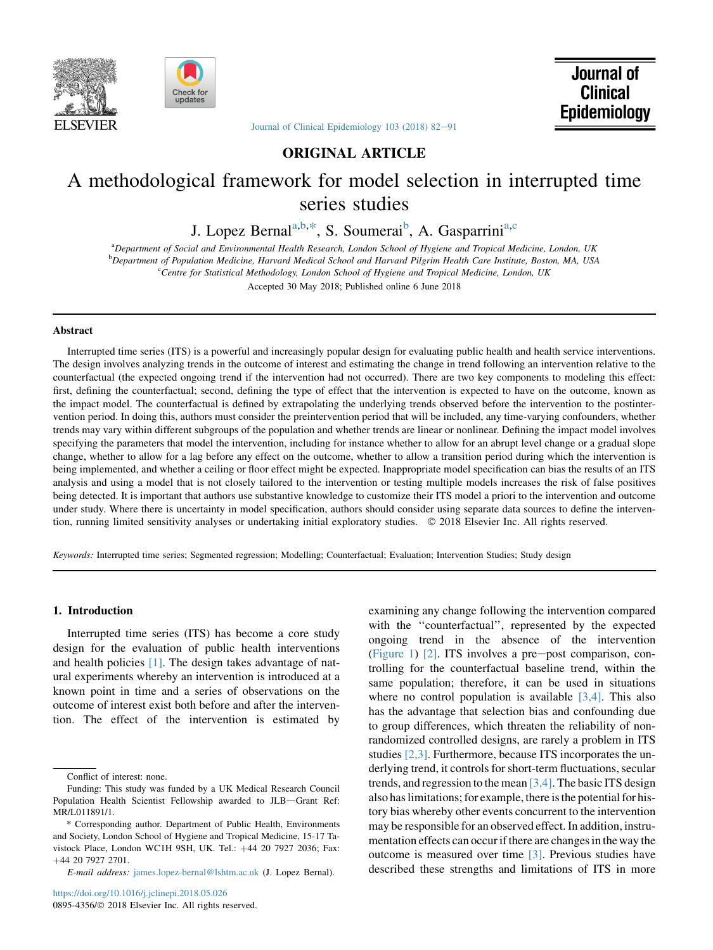



Journal of **Clinical** Epidemiology

[Journal of Clinical Epidemiology 103 \(2018\) 82](https://doi.org/10.1016/j.jclinepi.2018.05.026)-[91](https://doi.org/10.1016/j.jclinepi.2018.05.026)

ORIGINAL ARTICLE

# A methodological framework for model selection in interrupted time series studies

J. Lopez Bernal<sup>a,b,\*</sup>, S. Soumerai<sup>b</sup>, A. Gasparrini<sup>a,c</sup>

a Department of Social and Environmental Health Research, London School of Hygiene and Tropical Medicine, London, UK b Department of Population Medicine, Harvard Medical School and Harvard Pilgrim Health Care Institute, Boston, MA, USA <sup>c</sup>Centre for Statistical Methodology, London School of Hygiene and Tropical Medicine, London, UK Accepted 30 May 2018; Published online 6 June 2018

## Abstract

Interrupted time series (ITS) is a powerful and increasingly popular design for evaluating public health and health service interventions. The design involves analyzing trends in the outcome of interest and estimating the change in trend following an intervention relative to the counterfactual (the expected ongoing trend if the intervention had not occurred). There are two key components to modeling this effect: first, defining the counterfactual; second, defining the type of effect that the intervention is expected to have on the outcome, known as the impact model. The counterfactual is defined by extrapolating the underlying trends observed before the intervention to the postintervention period. In doing this, authors must consider the preintervention period that will be included, any time-varying confounders, whether trends may vary within different subgroups of the population and whether trends are linear or nonlinear. Defining the impact model involves specifying the parameters that model the intervention, including for instance whether to allow for an abrupt level change or a gradual slope change, whether to allow for a lag before any effect on the outcome, whether to allow a transition period during which the intervention is being implemented, and whether a ceiling or floor effect might be expected. Inappropriate model specification can bias the results of an ITS analysis and using a model that is not closely tailored to the intervention or testing multiple models increases the risk of false positives being detected. It is important that authors use substantive knowledge to customize their ITS model a priori to the intervention and outcome under study. Where there is uncertainty in model specification, authors should consider using separate data sources to define the intervention, running limited sensitivity analyses or undertaking initial exploratory studies.  $\oslash$  2018 Elsevier Inc. All rights reserved.

Keywords: Interrupted time series; Segmented regression; Modelling; Counterfactual; Evaluation; Intervention Studies; Study design

## 1. Introduction

Interrupted time series (ITS) has become a core study design for the evaluation of public health interventions and health policies [\[1\]](#page-8-0). The design takes advantage of natural experiments whereby an intervention is introduced at a known point in time and a series of observations on the outcome of interest exist both before and after the intervention. The effect of the intervention is estimated by

examining any change following the intervention compared with the ''counterfactual'', represented by the expected ongoing trend in the absence of the intervention [\(Figure 1](#page-1-0))  $[2]$ . ITS involves a pre-post comparison, controlling for the counterfactual baseline trend, within the same population; therefore, it can be used in situations where no control population is available  $[3,4]$ . This also has the advantage that selection bias and confounding due to group differences, which threaten the reliability of nonrandomized controlled designs, are rarely a problem in ITS studies [\[2,3\]](#page-8-0). Furthermore, because ITS incorporates the underlying trend, it controls for short-term fluctuations, secular trends, and regression to the mean [\[3,4\]](#page-8-0). The basic ITS design also has limitations; for example, there is the potential for history bias whereby other events concurrent to the intervention may be responsible for an observed effect. In addition, instrumentation effects can occur if there are changes in the way the outcome is measured over time [\[3\].](#page-8-0) Previous studies have described these strengths and limitations of ITS in more

Conflict of interest: none.

Funding: This study was funded by a UK Medical Research Council Population Health Scientist Fellowship awarded to JLB-Grant Ref: MR/L011891/1.

<sup>\*</sup> Corresponding author. Department of Public Health, Environments and Society, London School of Hygiene and Tropical Medicine, 15-17 Tavistock Place, London WC1H 9SH, UK. Tel.: +44 20 7927 2036; Fax: þ44 20 7927 2701.

E-mail address: [james.lopez-bernal@lshtm.ac.uk](mailto:james.lopez-bernal@lshtm.ac.uk) (J. Lopez Bernal).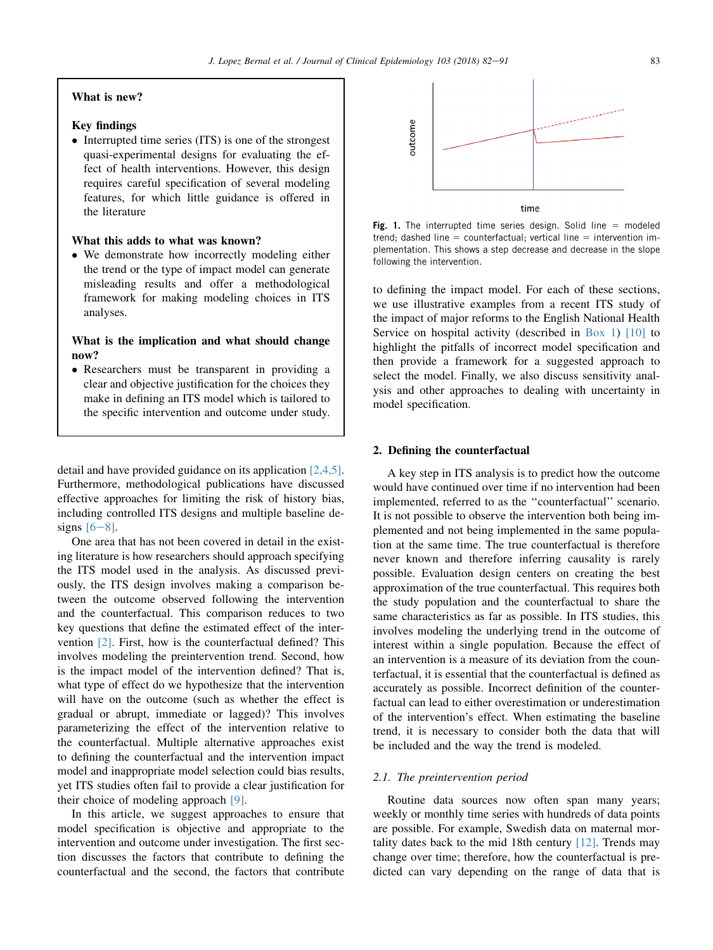## <span id="page-1-0"></span>What is new?

# Key findings

- Interrupted time series (ITS) is one of the strongest quasi-experimental designs for evaluating the effect of health interventions. However, this design requires careful specification of several modeling features, for which little guidance is offered in the literature

## What this adds to what was known?

- We demonstrate how incorrectly modeling either the trend or the type of impact model can generate misleading results and offer a methodological framework for making modeling choices in ITS analyses.

## What is the implication and what should change now?

- Researchers must be transparent in providing a clear and objective justification for the choices they make in defining an ITS model which is tailored to the specific intervention and outcome under study.

detail and have provided guidance on its application [\[2,4,5\]](#page-8-0). Furthermore, methodological publications have discussed effective approaches for limiting the risk of history bias, including controlled ITS designs and multiple baseline designs  $[6-8]$  $[6-8]$ .

One area that has not been covered in detail in the existing literature is how researchers should approach specifying the ITS model used in the analysis. As discussed previously, the ITS design involves making a comparison between the outcome observed following the intervention and the counterfactual. This comparison reduces to two key questions that define the estimated effect of the intervention [\[2\]](#page-8-0). First, how is the counterfactual defined? This involves modeling the preintervention trend. Second, how is the impact model of the intervention defined? That is, what type of effect do we hypothesize that the intervention will have on the outcome (such as whether the effect is gradual or abrupt, immediate or lagged)? This involves parameterizing the effect of the intervention relative to the counterfactual. Multiple alternative approaches exist to defining the counterfactual and the intervention impact model and inappropriate model selection could bias results, yet ITS studies often fail to provide a clear justification for their choice of modeling approach [\[9\].](#page-8-0)

In this article, we suggest approaches to ensure that model specification is objective and appropriate to the intervention and outcome under investigation. The first section discusses the factors that contribute to defining the counterfactual and the second, the factors that contribute



Fig. 1. The interrupted time series design. Solid line  $=$  modeled trend; dashed line = counterfactual; vertical line = intervention implementation. This shows a step decrease and decrease in the slope following the intervention.

to defining the impact model. For each of these sections, we use illustrative examples from a recent ITS study of the impact of major reforms to the English National Health Service on hospital activity (described in Box 1) [\[10\]](#page-8-0) to highlight the pitfalls of incorrect model specification and then provide a framework for a suggested approach to select the model. Finally, we also discuss sensitivity analysis and other approaches to dealing with uncertainty in model specification.

## 2. Defining the counterfactual

A key step in ITS analysis is to predict how the outcome would have continued over time if no intervention had been implemented, referred to as the ''counterfactual'' scenario. It is not possible to observe the intervention both being implemented and not being implemented in the same population at the same time. The true counterfactual is therefore never known and therefore inferring causality is rarely possible. Evaluation design centers on creating the best approximation of the true counterfactual. This requires both the study population and the counterfactual to share the same characteristics as far as possible. In ITS studies, this involves modeling the underlying trend in the outcome of interest within a single population. Because the effect of an intervention is a measure of its deviation from the counterfactual, it is essential that the counterfactual is defined as accurately as possible. Incorrect definition of the counterfactual can lead to either overestimation or underestimation of the intervention's effect. When estimating the baseline trend, it is necessary to consider both the data that will be included and the way the trend is modeled.

## 2.1. The preintervention period

Routine data sources now often span many years; weekly or monthly time series with hundreds of data points are possible. For example, Swedish data on maternal mortality dates back to the mid 18th century  $[12]$ . Trends may change over time; therefore, how the counterfactual is predicted can vary depending on the range of data that is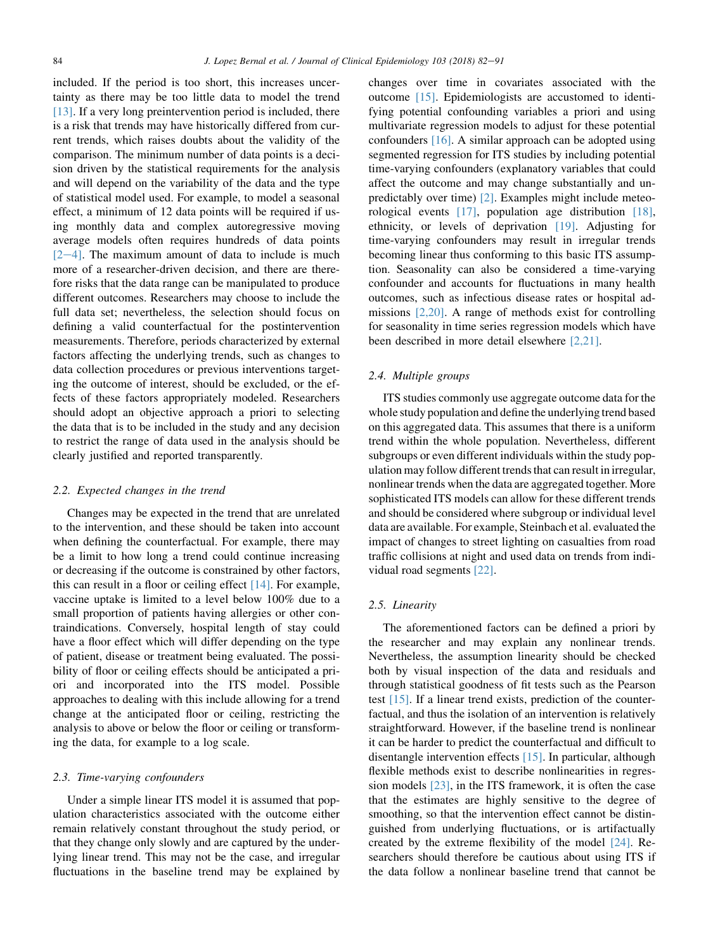included. If the period is too short, this increases uncertainty as there may be too little data to model the trend [\[13\].](#page-8-0) If a very long preintervention period is included, there is a risk that trends may have historically differed from current trends, which raises doubts about the validity of the comparison. The minimum number of data points is a decision driven by the statistical requirements for the analysis and will depend on the variability of the data and the type of statistical model used. For example, to model a seasonal effect, a minimum of 12 data points will be required if using monthly data and complex autoregressive moving average models often requires hundreds of data points  $[2-4]$  $[2-4]$  $[2-4]$ . The maximum amount of data to include is much more of a researcher-driven decision, and there are therefore risks that the data range can be manipulated to produce different outcomes. Researchers may choose to include the full data set; nevertheless, the selection should focus on defining a valid counterfactual for the postintervention measurements. Therefore, periods characterized by external factors affecting the underlying trends, such as changes to data collection procedures or previous interventions targeting the outcome of interest, should be excluded, or the effects of these factors appropriately modeled. Researchers should adopt an objective approach a priori to selecting the data that is to be included in the study and any decision to restrict the range of data used in the analysis should be clearly justified and reported transparently.

#### 2.2. Expected changes in the trend

Changes may be expected in the trend that are unrelated to the intervention, and these should be taken into account when defining the counterfactual. For example, there may be a limit to how long a trend could continue increasing or decreasing if the outcome is constrained by other factors, this can result in a floor or ceiling effect  $[14]$ . For example, vaccine uptake is limited to a level below 100% due to a small proportion of patients having allergies or other contraindications. Conversely, hospital length of stay could have a floor effect which will differ depending on the type of patient, disease or treatment being evaluated. The possibility of floor or ceiling effects should be anticipated a priori and incorporated into the ITS model. Possible approaches to dealing with this include allowing for a trend change at the anticipated floor or ceiling, restricting the analysis to above or below the floor or ceiling or transforming the data, for example to a log scale.

## 2.3. Time-varying confounders

Under a simple linear ITS model it is assumed that population characteristics associated with the outcome either remain relatively constant throughout the study period, or that they change only slowly and are captured by the underlying linear trend. This may not be the case, and irregular fluctuations in the baseline trend may be explained by

changes over time in covariates associated with the outcome [\[15\].](#page-8-0) Epidemiologists are accustomed to identifying potential confounding variables a priori and using multivariate regression models to adjust for these potential confounders [\[16\].](#page-8-0) A similar approach can be adopted using segmented regression for ITS studies by including potential time-varying confounders (explanatory variables that could affect the outcome and may change substantially and unpredictably over time) [\[2\].](#page-8-0) Examples might include meteorological events [\[17\]](#page-8-0), population age distribution [\[18\],](#page-8-0) ethnicity, or levels of deprivation [\[19\]](#page-8-0). Adjusting for time-varying confounders may result in irregular trends becoming linear thus conforming to this basic ITS assumption. Seasonality can also be considered a time-varying confounder and accounts for fluctuations in many health outcomes, such as infectious disease rates or hospital admissions [\[2,20\]](#page-8-0). A range of methods exist for controlling for seasonality in time series regression models which have been described in more detail elsewhere [\[2,21\]](#page-8-0).

## 2.4. Multiple groups

ITS studies commonly use aggregate outcome data for the whole study population and define the underlying trend based on this aggregated data. This assumes that there is a uniform trend within the whole population. Nevertheless, different subgroups or even different individuals within the study population may follow different trends that can result in irregular, nonlinear trends when the data are aggregated together. More sophisticated ITS models can allow for these different trends and should be considered where subgroup or individual level data are available. For example, Steinbach et al. evaluated the impact of changes to street lighting on casualties from road traffic collisions at night and used data on trends from individual road segments [\[22\]](#page-8-0).

## 2.5. Linearity

The aforementioned factors can be defined a priori by the researcher and may explain any nonlinear trends. Nevertheless, the assumption linearity should be checked both by visual inspection of the data and residuals and through statistical goodness of fit tests such as the Pearson test [\[15\].](#page-8-0) If a linear trend exists, prediction of the counterfactual, and thus the isolation of an intervention is relatively straightforward. However, if the baseline trend is nonlinear it can be harder to predict the counterfactual and difficult to disentangle intervention effects [\[15\]](#page-8-0). In particular, although flexible methods exist to describe nonlinearities in regression models [\[23\],](#page-8-0) in the ITS framework, it is often the case that the estimates are highly sensitive to the degree of smoothing, so that the intervention effect cannot be distinguished from underlying fluctuations, or is artifactually created by the extreme flexibility of the model [\[24\]](#page-8-0). Researchers should therefore be cautious about using ITS if the data follow a nonlinear baseline trend that cannot be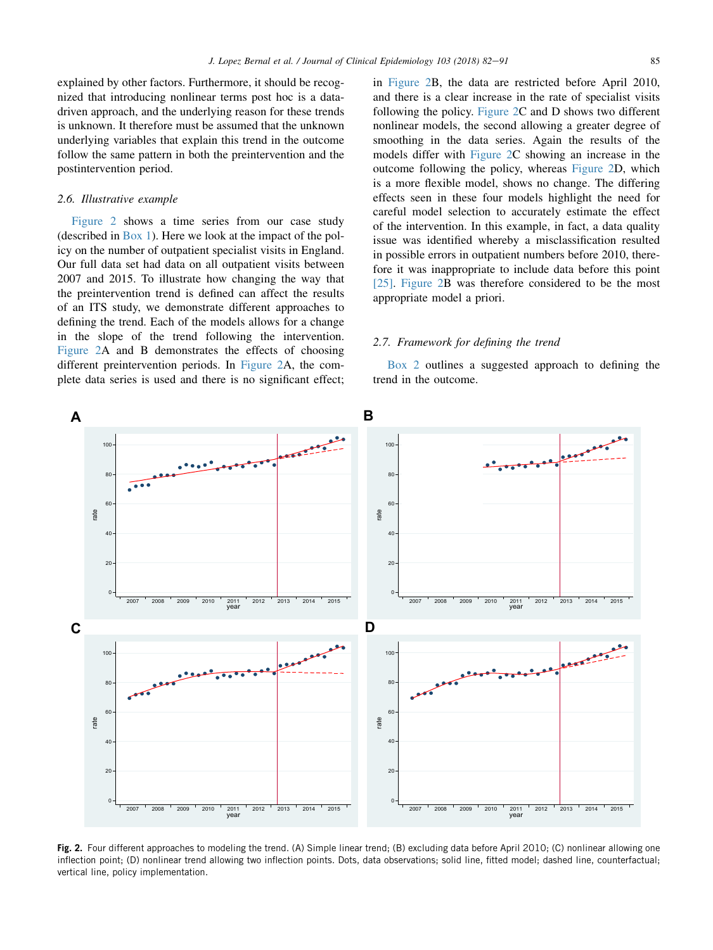explained by other factors. Furthermore, it should be recognized that introducing nonlinear terms post hoc is a datadriven approach, and the underlying reason for these trends is unknown. It therefore must be assumed that the unknown underlying variables that explain this trend in the outcome follow the same pattern in both the preintervention and the postintervention period.

#### 2.6. Illustrative example

Figure 2 shows a time series from our case study (described in Box 1). Here we look at the impact of the policy on the number of outpatient specialist visits in England. Our full data set had data on all outpatient visits between 2007 and 2015. To illustrate how changing the way that the preintervention trend is defined can affect the results of an ITS study, we demonstrate different approaches to defining the trend. Each of the models allows for a change in the slope of the trend following the intervention. Figure 2A and B demonstrates the effects of choosing different preintervention periods. In Figure 2A, the complete data series is used and there is no significant effect; in Figure 2B, the data are restricted before April 2010, and there is a clear increase in the rate of specialist visits following the policy. Figure  $2C$  and D shows two different nonlinear models, the second allowing a greater degree of smoothing in the data series. Again the results of the models differ with Figure 2C showing an increase in the outcome following the policy, whereas Figure 2D, which is a more flexible model, shows no change. The differing effects seen in these four models highlight the need for careful model selection to accurately estimate the effect of the intervention. In this example, in fact, a data quality issue was identified whereby a misclassification resulted in possible errors in outpatient numbers before 2010, therefore it was inappropriate to include data before this point [\[25\]](#page-8-0). Figure 2B was therefore considered to be the most appropriate model a priori.

## 2.7. Framework for defining the trend

Box 2 outlines a suggested approach to defining the trend in the outcome.



**Fig. 2.** Four different approaches to modeling the trend. (A) Simple linear trend; (B) excluding data before April 2010; (C) nonlinear allowing one inflection point; (D) nonlinear trend allowing two inflection points. Dots, data observations; solid line, fitted model; dashed line, counterfactual; vertical line, policy implementation.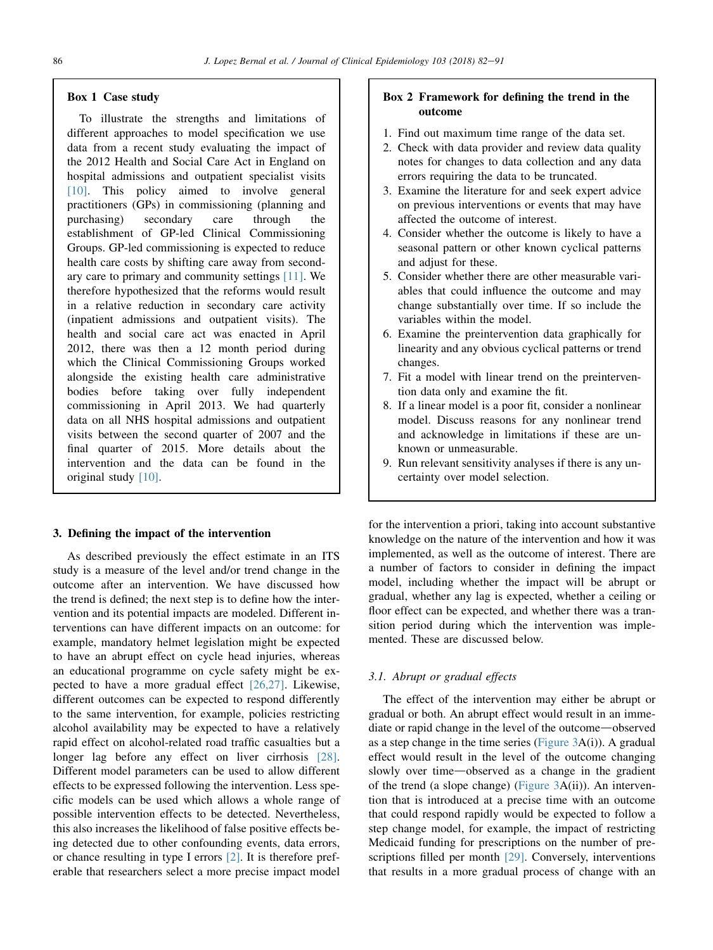## Box 1 Case study

To illustrate the strengths and limitations of different approaches to model specification we use data from a recent study evaluating the impact of the 2012 Health and Social Care Act in England on hospital admissions and outpatient specialist visits [\[10\].](#page-8-0) This policy aimed to involve general practitioners (GPs) in commissioning (planning and purchasing) secondary care through the establishment of GP-led Clinical Commissioning Groups. GP-led commissioning is expected to reduce health care costs by shifting care away from secondary care to primary and community settings [\[11\].](#page-8-0) We therefore hypothesized that the reforms would result in a relative reduction in secondary care activity (inpatient admissions and outpatient visits). The health and social care act was enacted in April 2012, there was then a 12 month period during which the Clinical Commissioning Groups worked alongside the existing health care administrative bodies before taking over fully independent commissioning in April 2013. We had quarterly data on all NHS hospital admissions and outpatient visits between the second quarter of 2007 and the final quarter of 2015. More details about the intervention and the data can be found in the original study [\[10\]](#page-8-0).

# 3. Defining the impact of the intervention

As described previously the effect estimate in an ITS study is a measure of the level and/or trend change in the outcome after an intervention. We have discussed how the trend is defined; the next step is to define how the intervention and its potential impacts are modeled. Different interventions can have different impacts on an outcome: for example, mandatory helmet legislation might be expected to have an abrupt effect on cycle head injuries, whereas an educational programme on cycle safety might be expected to have a more gradual effect [\[26,27\].](#page-8-0) Likewise, different outcomes can be expected to respond differently to the same intervention, for example, policies restricting alcohol availability may be expected to have a relatively rapid effect on alcohol-related road traffic casualties but a longer lag before any effect on liver cirrhosis [\[28\].](#page-9-0) Different model parameters can be used to allow different effects to be expressed following the intervention. Less specific models can be used which allows a whole range of possible intervention effects to be detected. Nevertheless, this also increases the likelihood of false positive effects being detected due to other confounding events, data errors, or chance resulting in type I errors [\[2\]](#page-8-0). It is therefore preferable that researchers select a more precise impact model

# Box 2 Framework for defining the trend in the outcome

- 1. Find out maximum time range of the data set.
- 2. Check with data provider and review data quality notes for changes to data collection and any data errors requiring the data to be truncated.
- 3. Examine the literature for and seek expert advice on previous interventions or events that may have affected the outcome of interest.
- 4. Consider whether the outcome is likely to have a seasonal pattern or other known cyclical patterns and adjust for these.
- 5. Consider whether there are other measurable variables that could influence the outcome and may change substantially over time. If so include the variables within the model.
- 6. Examine the preintervention data graphically for linearity and any obvious cyclical patterns or trend changes.
- 7. Fit a model with linear trend on the preintervention data only and examine the fit.
- 8. If a linear model is a poor fit, consider a nonlinear model. Discuss reasons for any nonlinear trend and acknowledge in limitations if these are unknown or unmeasurable.
- 9. Run relevant sensitivity analyses if there is any uncertainty over model selection.

for the intervention a priori, taking into account substantive knowledge on the nature of the intervention and how it was implemented, as well as the outcome of interest. There are a number of factors to consider in defining the impact model, including whether the impact will be abrupt or gradual, whether any lag is expected, whether a ceiling or floor effect can be expected, and whether there was a transition period during which the intervention was implemented. These are discussed below.

## 3.1. Abrupt or gradual effects

The effect of the intervention may either be abrupt or gradual or both. An abrupt effect would result in an immediate or rapid change in the level of the outcome—observed as a step change in the time series (Figure  $3A(i)$ ). A gradual effect would result in the level of the outcome changing slowly over time-observed as a change in the gradient of the trend (a slope change) ([Figure 3](#page-5-0)A(ii)). An intervention that is introduced at a precise time with an outcome that could respond rapidly would be expected to follow a step change model, for example, the impact of restricting Medicaid funding for prescriptions on the number of pre-scriptions filled per month [\[29\].](#page-9-0) Conversely, interventions that results in a more gradual process of change with an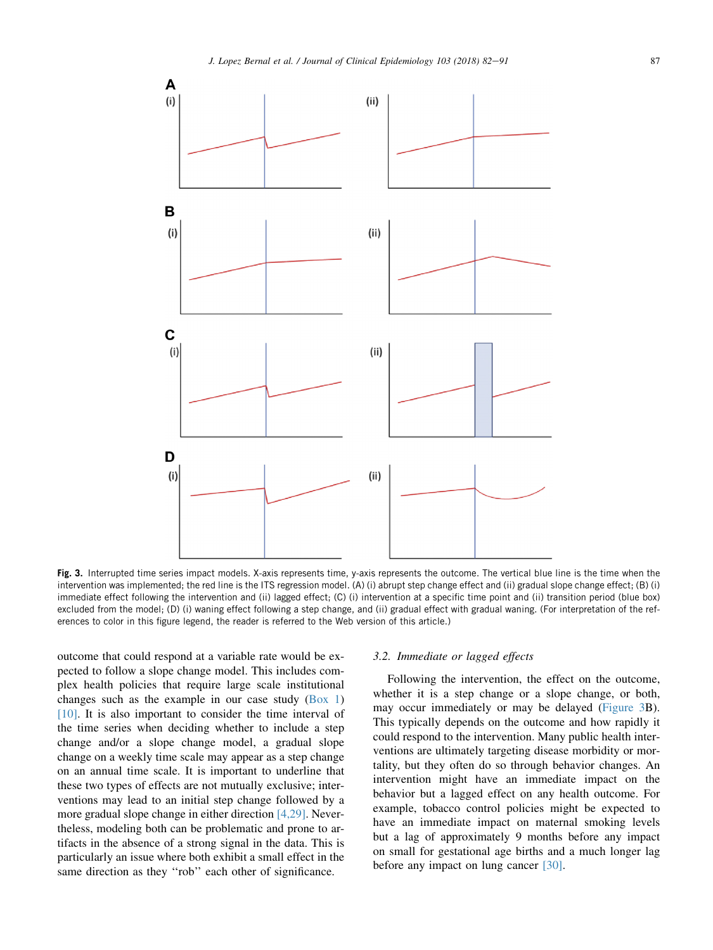<span id="page-5-0"></span>

Fig. 3. Interrupted time series impact models. X-axis represents time, y-axis represents the outcome. The vertical blue line is the time when the intervention was implemented; the red line is the ITS regression model. (A) (i) abrupt step change effect and (ii) gradual slope change effect; (B) (i) immediate effect following the intervention and (ii) lagged effect; (C) (i) intervention at a specific time point and (ii) transition period (blue box) excluded from the model; (D) (i) waning effect following a step change, and (ii) gradual effect with gradual waning. (For interpretation of the references to color in this figure legend, the reader is referred to the Web version of this article.)

outcome that could respond at a variable rate would be expected to follow a slope change model. This includes complex health policies that require large scale institutional changes such as the example in our case study  $(Box 1)$ [\[10\]](#page-8-0). It is also important to consider the time interval of the time series when deciding whether to include a step change and/or a slope change model, a gradual slope change on a weekly time scale may appear as a step change on an annual time scale. It is important to underline that these two types of effects are not mutually exclusive; interventions may lead to an initial step change followed by a more gradual slope change in either direction [\[4,29\].](#page-8-0) Nevertheless, modeling both can be problematic and prone to artifacts in the absence of a strong signal in the data. This is particularly an issue where both exhibit a small effect in the same direction as they "rob" each other of significance.

## 3.2. Immediate or lagged effects

Following the intervention, the effect on the outcome, whether it is a step change or a slope change, or both, may occur immediately or may be delayed (Figure 3B). This typically depends on the outcome and how rapidly it could respond to the intervention. Many public health interventions are ultimately targeting disease morbidity or mortality, but they often do so through behavior changes. An intervention might have an immediate impact on the behavior but a lagged effect on any health outcome. For example, tobacco control policies might be expected to have an immediate impact on maternal smoking levels but a lag of approximately 9 months before any impact on small for gestational age births and a much longer lag before any impact on lung cancer [\[30\].](#page-9-0)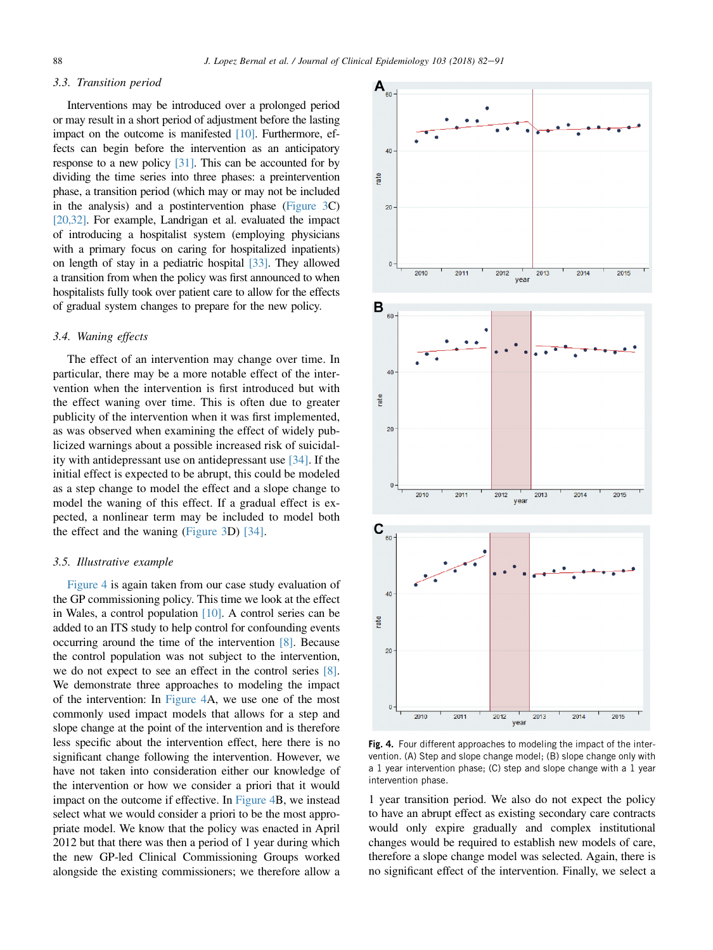## 3.3. Transition period

Interventions may be introduced over a prolonged period or may result in a short period of adjustment before the lasting impact on the outcome is manifested [\[10\]](#page-8-0). Furthermore, effects can begin before the intervention as an anticipatory response to a new policy [\[31\].](#page-9-0) This can be accounted for by dividing the time series into three phases: a preintervention phase, a transition period (which may or may not be included in the analysis) and a postintervention phase ([Figure 3](#page-5-0)C) [\[20,32\].](#page-8-0) For example, Landrigan et al. evaluated the impact of introducing a hospitalist system (employing physicians with a primary focus on caring for hospitalized inpatients) on length of stay in a pediatric hospital [\[33\]](#page-9-0). They allowed a transition from when the policy was first announced to when hospitalists fully took over patient care to allow for the effects of gradual system changes to prepare for the new policy.

## 3.4. Waning effects

The effect of an intervention may change over time. In particular, there may be a more notable effect of the intervention when the intervention is first introduced but with the effect waning over time. This is often due to greater publicity of the intervention when it was first implemented, as was observed when examining the effect of widely publicized warnings about a possible increased risk of suicidality with antidepressant use on antidepressant use [\[34\]](#page-9-0). If the initial effect is expected to be abrupt, this could be modeled as a step change to model the effect and a slope change to model the waning of this effect. If a gradual effect is expected, a nonlinear term may be included to model both the effect and the waning ([Figure 3](#page-5-0)D) [\[34\].](#page-9-0)

#### 3.5. Illustrative example

Figure 4 is again taken from our case study evaluation of the GP commissioning policy. This time we look at the effect in Wales, a control population [\[10\]](#page-8-0). A control series can be added to an ITS study to help control for confounding events occurring around the time of the intervention [\[8\]](#page-8-0). Because the control population was not subject to the intervention, we do not expect to see an effect in the control series [\[8\].](#page-8-0) We demonstrate three approaches to modeling the impact of the intervention: In Figure 4A, we use one of the most commonly used impact models that allows for a step and slope change at the point of the intervention and is therefore less specific about the intervention effect, here there is no significant change following the intervention. However, we have not taken into consideration either our knowledge of the intervention or how we consider a priori that it would impact on the outcome if effective. In Figure 4B, we instead select what we would consider a priori to be the most appropriate model. We know that the policy was enacted in April 2012 but that there was then a period of 1 year during which the new GP-led Clinical Commissioning Groups worked alongside the existing commissioners; we therefore allow a



**Fig. 4.** Four different approaches to modeling the impact of the intervention. (A) Step and slope change model; (B) slope change only with a 1 year intervention phase; (C) step and slope change with a 1 year intervention phase.

1 year transition period. We also do not expect the policy to have an abrupt effect as existing secondary care contracts would only expire gradually and complex institutional changes would be required to establish new models of care, therefore a slope change model was selected. Again, there is no significant effect of the intervention. Finally, we select a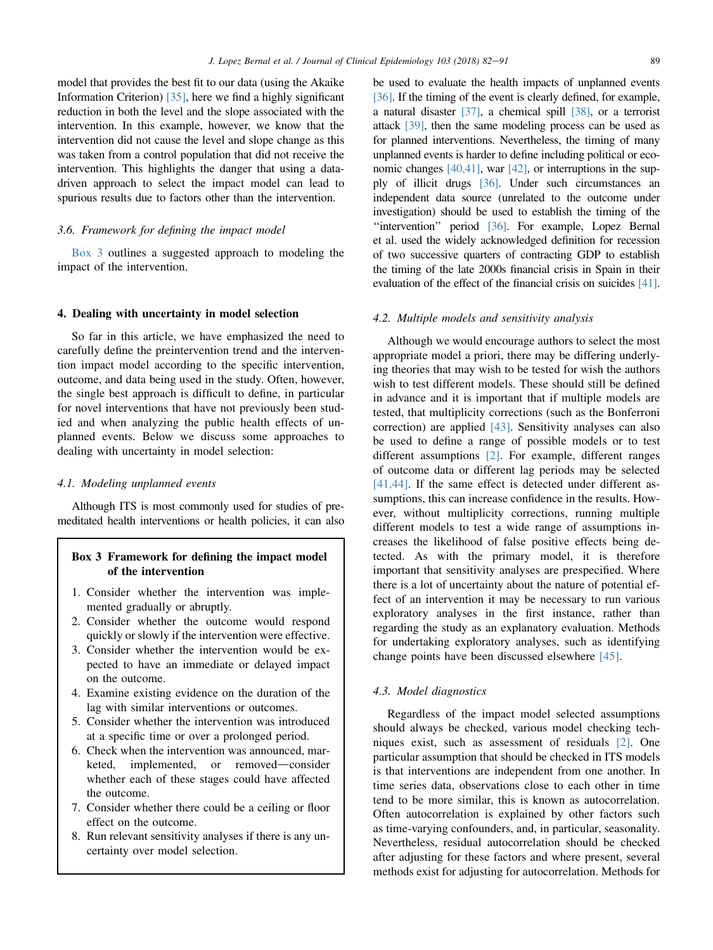model that provides the best fit to our data (using the Akaike Information Criterion) [\[35\],](#page-9-0) here we find a highly significant reduction in both the level and the slope associated with the intervention. In this example, however, we know that the intervention did not cause the level and slope change as this was taken from a control population that did not receive the intervention. This highlights the danger that using a datadriven approach to select the impact model can lead to spurious results due to factors other than the intervention.

## 3.6. Framework for defining the impact model

Box 3 outlines a suggested approach to modeling the impact of the intervention.

## 4. Dealing with uncertainty in model selection

So far in this article, we have emphasized the need to carefully define the preintervention trend and the intervention impact model according to the specific intervention, outcome, and data being used in the study. Often, however, the single best approach is difficult to define, in particular for novel interventions that have not previously been studied and when analyzing the public health effects of unplanned events. Below we discuss some approaches to dealing with uncertainty in model selection:

#### 4.1. Modeling unplanned events

Although ITS is most commonly used for studies of premeditated health interventions or health policies, it can also

# Box 3 Framework for defining the impact model of the intervention

- 1. Consider whether the intervention was implemented gradually or abruptly.
- 2. Consider whether the outcome would respond quickly or slowly if the intervention were effective.
- 3. Consider whether the intervention would be expected to have an immediate or delayed impact on the outcome.
- 4. Examine existing evidence on the duration of the lag with similar interventions or outcomes.
- 5. Consider whether the intervention was introduced at a specific time or over a prolonged period.
- 6. Check when the intervention was announced, marketed, implemented, or removed—consider whether each of these stages could have affected the outcome.
- 7. Consider whether there could be a ceiling or floor effect on the outcome.
- 8. Run relevant sensitivity analyses if there is any uncertainty over model selection.

be used to evaluate the health impacts of unplanned events [\[36\].](#page-9-0) If the timing of the event is clearly defined, for example, a natural disaster [\[37\]](#page-9-0), a chemical spill [\[38\],](#page-9-0) or a terrorist attack [\[39\]](#page-9-0), then the same modeling process can be used as for planned interventions. Nevertheless, the timing of many unplanned events is harder to define including political or economic changes  $[40,41]$ , war  $[42]$ , or interruptions in the supply of illicit drugs [\[36\]](#page-9-0). Under such circumstances an independent data source (unrelated to the outcome under investigation) should be used to establish the timing of the "intervention" period [\[36\]](#page-9-0). For example, Lopez Bernal et al. used the widely acknowledged definition for recession of two successive quarters of contracting GDP to establish the timing of the late 2000s financial crisis in Spain in their evaluation of the effect of the financial crisis on suicides [\[41\]](#page-9-0).

#### 4.2. Multiple models and sensitivity analysis

Although we would encourage authors to select the most appropriate model a priori, there may be differing underlying theories that may wish to be tested for wish the authors wish to test different models. These should still be defined in advance and it is important that if multiple models are tested, that multiplicity corrections (such as the Bonferroni correction) are applied [\[43\]](#page-9-0). Sensitivity analyses can also be used to define a range of possible models or to test different assumptions [\[2\]](#page-8-0). For example, different ranges of outcome data or different lag periods may be selected [\[41,44\].](#page-9-0) If the same effect is detected under different assumptions, this can increase confidence in the results. However, without multiplicity corrections, running multiple different models to test a wide range of assumptions increases the likelihood of false positive effects being detected. As with the primary model, it is therefore important that sensitivity analyses are prespecified. Where there is a lot of uncertainty about the nature of potential effect of an intervention it may be necessary to run various exploratory analyses in the first instance, rather than regarding the study as an explanatory evaluation. Methods for undertaking exploratory analyses, such as identifying change points have been discussed elsewhere [\[45\].](#page-9-0)

## 4.3. Model diagnostics

Regardless of the impact model selected assumptions should always be checked, various model checking techniques exist, such as assessment of residuals [\[2\]](#page-8-0). One particular assumption that should be checked in ITS models is that interventions are independent from one another. In time series data, observations close to each other in time tend to be more similar, this is known as autocorrelation. Often autocorrelation is explained by other factors such as time-varying confounders, and, in particular, seasonality. Nevertheless, residual autocorrelation should be checked after adjusting for these factors and where present, several methods exist for adjusting for autocorrelation. Methods for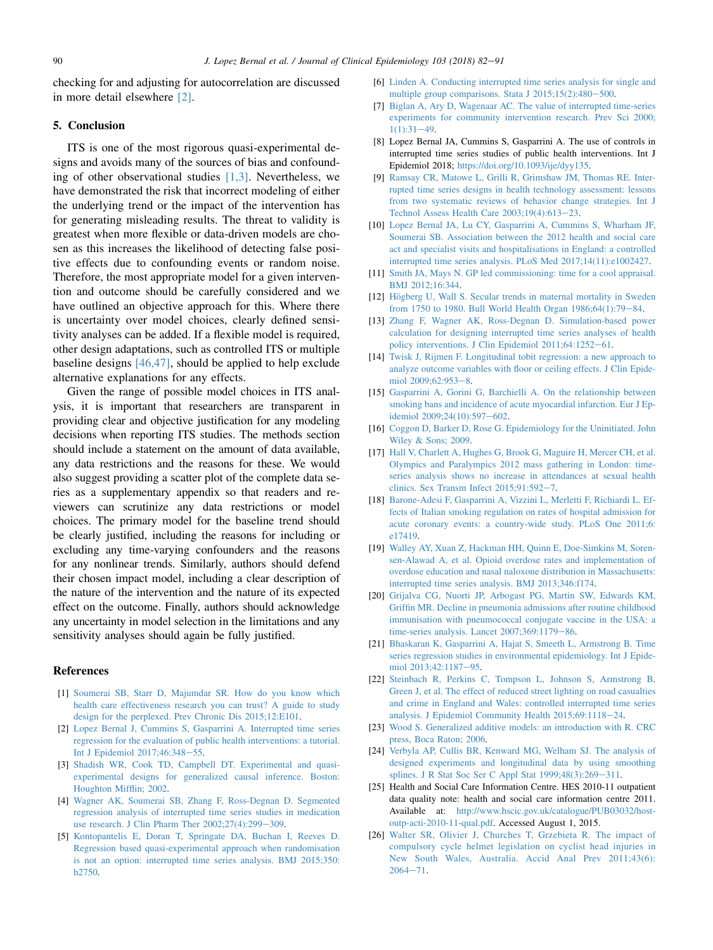<span id="page-8-0"></span>checking for and adjusting for autocorrelation are discussed in more detail elsewhere [2].

## 5. Conclusion

ITS is one of the most rigorous quasi-experimental designs and avoids many of the sources of bias and confounding of other observational studies [1,3]. Nevertheless, we have demonstrated the risk that incorrect modeling of either the underlying trend or the impact of the intervention has for generating misleading results. The threat to validity is greatest when more flexible or data-driven models are chosen as this increases the likelihood of detecting false positive effects due to confounding events or random noise. Therefore, the most appropriate model for a given intervention and outcome should be carefully considered and we have outlined an objective approach for this. Where there is uncertainty over model choices, clearly defined sensitivity analyses can be added. If a flexible model is required, other design adaptations, such as controlled ITS or multiple baseline designs [\[46,47\],](#page-9-0) should be applied to help exclude alternative explanations for any effects.

Given the range of possible model choices in ITS analysis, it is important that researchers are transparent in providing clear and objective justification for any modeling decisions when reporting ITS studies. The methods section should include a statement on the amount of data available, any data restrictions and the reasons for these. We would also suggest providing a scatter plot of the complete data series as a supplementary appendix so that readers and reviewers can scrutinize any data restrictions or model choices. The primary model for the baseline trend should be clearly justified, including the reasons for including or excluding any time-varying confounders and the reasons for any nonlinear trends. Similarly, authors should defend their chosen impact model, including a clear description of the nature of the intervention and the nature of its expected effect on the outcome. Finally, authors should acknowledge any uncertainty in model selection in the limitations and any sensitivity analyses should again be fully justified.

## References

- [1] [Soumerai SB, Starr D, Majumdar SR. How do you know which](http://refhub.elsevier.com/S0895-4356(17)31411-7/sref1) [health care effectiveness research you can trust? A guide to study](http://refhub.elsevier.com/S0895-4356(17)31411-7/sref1) [design for the perplexed. Prev Chronic Dis 2015;12:E101](http://refhub.elsevier.com/S0895-4356(17)31411-7/sref1).
- [2] [Lopez Bernal J, Cummins S, Gasparrini A. Interrupted time series](http://refhub.elsevier.com/S0895-4356(17)31411-7/sref2) [regression for the evaluation of public health interventions: a tutorial.](http://refhub.elsevier.com/S0895-4356(17)31411-7/sref2) [Int J Epidemiol 2017;46:348](http://refhub.elsevier.com/S0895-4356(17)31411-7/sref2)-[55.](http://refhub.elsevier.com/S0895-4356(17)31411-7/sref2)
- [3] [Shadish WR, Cook TD, Campbell DT. Experimental and quasi](http://refhub.elsevier.com/S0895-4356(17)31411-7/sref3)[experimental designs for generalized causal inference. Boston:](http://refhub.elsevier.com/S0895-4356(17)31411-7/sref3) [Houghton Mifflin; 2002](http://refhub.elsevier.com/S0895-4356(17)31411-7/sref3).
- [4] [Wagner AK, Soumerai SB, Zhang F, Ross-Degnan D. Segmented](http://refhub.elsevier.com/S0895-4356(17)31411-7/sref4) [regression analysis of interrupted time series studies in medication](http://refhub.elsevier.com/S0895-4356(17)31411-7/sref4) use research. J Clin Pharm Ther  $2002;27(4):299-309$  $2002;27(4):299-309$ .
- [5] [Kontopantelis E, Doran T, Springate DA, Buchan I, Reeves D.](http://refhub.elsevier.com/S0895-4356(17)31411-7/sref5) [Regression based quasi-experimental approach when randomisation](http://refhub.elsevier.com/S0895-4356(17)31411-7/sref5) [is not an option: interrupted time series analysis. BMJ 2015;350:](http://refhub.elsevier.com/S0895-4356(17)31411-7/sref5) [h2750](http://refhub.elsevier.com/S0895-4356(17)31411-7/sref5).
- [6] [Linden A. Conducting interrupted time series analysis for single and](http://refhub.elsevier.com/S0895-4356(17)31411-7/sref6) [multiple group comparisons. Stata J 2015;15\(2\):480](http://refhub.elsevier.com/S0895-4356(17)31411-7/sref6)-[500](http://refhub.elsevier.com/S0895-4356(17)31411-7/sref6).
- [7] [Biglan A, Ary D, Wagenaar AC. The value of interrupted time-series](http://refhub.elsevier.com/S0895-4356(17)31411-7/sref7) [experiments for community intervention research. Prev Sci 2000;](http://refhub.elsevier.com/S0895-4356(17)31411-7/sref7)  $1(1):31-49.$  $1(1):31-49.$  $1(1):31-49.$
- [8] Lopez Bernal JA, Cummins S, Gasparrini A. The use of controls in interrupted time series studies of public health interventions. Int J Epidemiol 2018; <https://doi.org/10.1093/ije/dyy135>.
- [9] [Ramsay CR, Matowe L, Grilli R, Grimshaw JM, Thomas RE. Inter](http://refhub.elsevier.com/S0895-4356(17)31411-7/sref9)[rupted time series designs in health technology assessment: lessons](http://refhub.elsevier.com/S0895-4356(17)31411-7/sref9) [from two systematic reviews of behavior change strategies. Int J](http://refhub.elsevier.com/S0895-4356(17)31411-7/sref9) Technol Assess Health Care  $2003;19(4):613-23$ .
- [10] [Lopez Bernal JA, Lu CY, Gasparrini A, Cummins S, Wharham JF,](http://refhub.elsevier.com/S0895-4356(17)31411-7/sref10) [Soumerai SB. Association between the 2012 health and social care](http://refhub.elsevier.com/S0895-4356(17)31411-7/sref10) [act and specialist visits and hospitalisations in England: a controlled](http://refhub.elsevier.com/S0895-4356(17)31411-7/sref10) [interrupted time series analysis. PLoS Med 2017;14\(11\):e1002427](http://refhub.elsevier.com/S0895-4356(17)31411-7/sref10).
- [11] [Smith JA, Mays N. GP led commissioning: time for a cool appraisal.](http://refhub.elsevier.com/S0895-4356(17)31411-7/sref11) [BMJ 2012;16:344.](http://refhub.elsevier.com/S0895-4356(17)31411-7/sref11)
- [12] [H](http://refhub.elsevier.com/S0895-4356(17)31411-7/sref12)ögberg U, Wall S. Secular trends in maternal mortality in Sweden [from 1750 to 1980. Bull World Health Organ 1986;64\(1\):79](http://refhub.elsevier.com/S0895-4356(17)31411-7/sref12)-[84](http://refhub.elsevier.com/S0895-4356(17)31411-7/sref12).
- [13] [Zhang F, Wagner AK, Ross-Degnan D. Simulation-based power](http://refhub.elsevier.com/S0895-4356(17)31411-7/sref13) [calculation for designing interrupted time series analyses of health](http://refhub.elsevier.com/S0895-4356(17)31411-7/sref13) [policy interventions. J Clin Epidemiol 2011;64:1252](http://refhub.elsevier.com/S0895-4356(17)31411-7/sref13)-[61](http://refhub.elsevier.com/S0895-4356(17)31411-7/sref13).
- [14] [Twisk J, Rijmen F. Longitudinal tobit regression: a new approach to](http://refhub.elsevier.com/S0895-4356(17)31411-7/sref14) [analyze outcome variables with floor or ceiling effects. J Clin Epide](http://refhub.elsevier.com/S0895-4356(17)31411-7/sref14)miol  $2009:62:953-8$ .
- [15] [Gasparrini A, Gorini G, Barchielli A. On the relationship between](http://refhub.elsevier.com/S0895-4356(17)31411-7/sref15) [smoking bans and incidence of acute myocardial infarction. Eur J Ep](http://refhub.elsevier.com/S0895-4356(17)31411-7/sref15)[idemiol 2009;24\(10\):597](http://refhub.elsevier.com/S0895-4356(17)31411-7/sref15)-[602.](http://refhub.elsevier.com/S0895-4356(17)31411-7/sref15)
- [16] [Coggon D, Barker D, Rose G. Epidemiology for the Uninitiated. John](http://refhub.elsevier.com/S0895-4356(17)31411-7/sref16) [Wiley & Sons; 2009](http://refhub.elsevier.com/S0895-4356(17)31411-7/sref16).
- [17] [Hall V, Charlett A, Hughes G, Brook G, Maguire H, Mercer CH, et al.](http://refhub.elsevier.com/S0895-4356(17)31411-7/sref17) [Olympics and Paralympics 2012 mass gathering in London: time](http://refhub.elsevier.com/S0895-4356(17)31411-7/sref17)[series analysis shows no increase in attendances at sexual health](http://refhub.elsevier.com/S0895-4356(17)31411-7/sref17) clinics. Sex Transm Infect  $2015;91:592-7$ .
- [18] [Barone-Adesi F, Gasparrini A, Vizzini L, Merletti F, Richiardi L. Ef](http://refhub.elsevier.com/S0895-4356(17)31411-7/sref18)[fects of Italian smoking regulation on rates of hospital admission for](http://refhub.elsevier.com/S0895-4356(17)31411-7/sref18) [acute coronary events: a country-wide study. PLoS One 2011;6:](http://refhub.elsevier.com/S0895-4356(17)31411-7/sref18) [e17419.](http://refhub.elsevier.com/S0895-4356(17)31411-7/sref18)
- [19] [Walley AY, Xuan Z, Hackman HH, Quinn E, Doe-Simkins M, Soren](http://refhub.elsevier.com/S0895-4356(17)31411-7/sref19)[sen-Alawad A, et al. Opioid overdose rates and implementation of](http://refhub.elsevier.com/S0895-4356(17)31411-7/sref19) [overdose education and nasal naloxone distribution in Massachusetts:](http://refhub.elsevier.com/S0895-4356(17)31411-7/sref19) [interrupted time series analysis. BMJ 2013;346:f174.](http://refhub.elsevier.com/S0895-4356(17)31411-7/sref19)
- [20] [Grijalva CG, Nuorti JP, Arbogast PG, Martin SW, Edwards KM,](http://refhub.elsevier.com/S0895-4356(17)31411-7/sref20) [Griffin MR. Decline in pneumonia admissions after routine childhood](http://refhub.elsevier.com/S0895-4356(17)31411-7/sref20) [immunisation with pneumococcal conjugate vaccine in the USA: a](http://refhub.elsevier.com/S0895-4356(17)31411-7/sref20) time-series analysis. Lancet  $2007;369:1179-86$ .
- [21] [Bhaskaran K, Gasparrini A, Hajat S, Smeeth L, Armstrong B. Time](http://refhub.elsevier.com/S0895-4356(17)31411-7/sref21) [series regression studies in environmental epidemiology. Int J Epide](http://refhub.elsevier.com/S0895-4356(17)31411-7/sref21)[miol 2013;42:1187](http://refhub.elsevier.com/S0895-4356(17)31411-7/sref21)-[95.](http://refhub.elsevier.com/S0895-4356(17)31411-7/sref21)
- [22] [Steinbach R, Perkins C, Tompson L, Johnson S, Armstrong B,](http://refhub.elsevier.com/S0895-4356(17)31411-7/sref22) [Green J, et al. The effect of reduced street lighting on road casualties](http://refhub.elsevier.com/S0895-4356(17)31411-7/sref22) [and crime in England and Wales: controlled interrupted time series](http://refhub.elsevier.com/S0895-4356(17)31411-7/sref22) [analysis. J Epidemiol Community Health 2015;69:1118](http://refhub.elsevier.com/S0895-4356(17)31411-7/sref22)-[24](http://refhub.elsevier.com/S0895-4356(17)31411-7/sref22).
- [23] [Wood S. Generalized additive models: an introduction with R. CRC](http://refhub.elsevier.com/S0895-4356(17)31411-7/sref23) [press, Boca Raton; 2006](http://refhub.elsevier.com/S0895-4356(17)31411-7/sref23).
- [24] [Verbyla AP, Cullis BR, Kenward MG, Welham SJ. The analysis of](http://refhub.elsevier.com/S0895-4356(17)31411-7/sref24) [designed experiments and longitudinal data by using smoothing](http://refhub.elsevier.com/S0895-4356(17)31411-7/sref24) [splines. J R Stat Soc Ser C Appl Stat 1999;48\(3\):269](http://refhub.elsevier.com/S0895-4356(17)31411-7/sref24)-[311.](http://refhub.elsevier.com/S0895-4356(17)31411-7/sref24)
- [25] Health and Social Care Information Centre. HES 2010-11 outpatient data quality note: health and social care information centre 2011. Available at: [http://www.hscic.gov.uk/catalogue/PUB03032/host](http://www.hscic.gov.uk/catalogue/PUB03032/host-outp-acti-2010-11-qual.pdf)[outp-acti-2010-11-qual.pdf.](http://www.hscic.gov.uk/catalogue/PUB03032/host-outp-acti-2010-11-qual.pdf) Accessed August 1, 2015.
- [26] [Walter SR, Olivier J, Churches T, Grzebieta R. The impact of](http://refhub.elsevier.com/S0895-4356(17)31411-7/sref26) [compulsory cycle helmet legislation on cyclist head injuries in](http://refhub.elsevier.com/S0895-4356(17)31411-7/sref26) [New South Wales, Australia. Accid Anal Prev 2011;43\(6\):](http://refhub.elsevier.com/S0895-4356(17)31411-7/sref26)  $2064 - 71.$  $2064 - 71.$  $2064 - 71.$  $2064 - 71.$